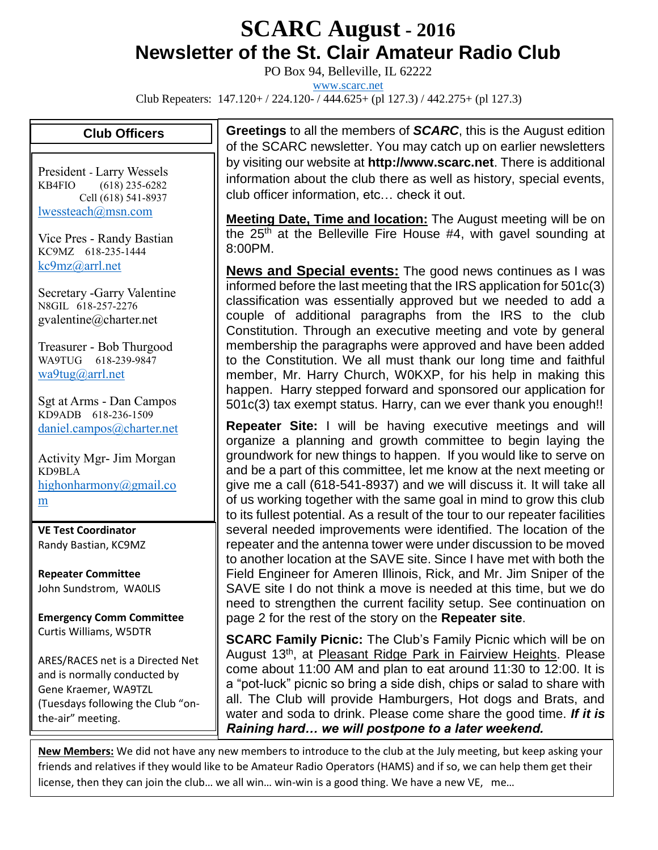## **SCARC August - <sup>2016</sup> Newsletter of the St. Clair Amateur Radio Club**

PO Box 94, Belleville, IL 62222

[www.scarc.net](http://www.scarc.net/)

Club Repeaters: 147.120+ / 224.120- / 444.625+ (pl 127.3) / 442.275+ (pl 127.3)

## **Club Officers**

President - Larry Wessels KB4FIO (618) 235-6282 Cell (618) 541-8937 [lwessteach@msn.com](mailto:lwessteach@msn.com)

Vice Pres - Randy Bastian KC9MZ 618-235-1444 [kc9mz@arrl.net](mailto:kc9mz@arrl.net)

Secretary -Garry Valentine N8GIL 618-257-2276 gvalentine@charter.net

Treasurer - Bob Thurgood WA9TUG 618-239-9847 [wa9tug@arrl.net](mailto:wa9tug@arrl.net)

Sgt at Arms - Dan Campos KD9ADB 618-236-1509 [daniel.campos@charter.net](mailto:daniel.campos@charter.net)

Activity Mgr- Jim Morgan KD9BLA [highonharmony@gmail.co](mailto:highonharmony@gmail.com) [m](mailto:highonharmony@gmail.com)

**VE Test Coordinator** Randy Bastian, KC9MZ

**Repeater Committee** John Sundstrom, WA0LIS

**Emergency Comm Committee** Curtis Williams, W5DTR

ARES/RACES net is a Directed Net and is normally conducted by Gene Kraemer, WA9TZL (Tuesdays following the Club "onthe-air" meeting.

**Greetings** to all the members of *SCARC*, this is the August edition of the SCARC newsletter. You may catch up on earlier newsletters by visiting our website at **http://www.scarc.net**. There is additional information about the club there as well as history, special events, club officer information, etc… check it out.

**Meeting Date, Time and location:** The August meeting will be on the 25<sup>th</sup> at the Belleville Fire House #4, with gavel sounding at 8:00PM.

**News and Special events:** The good news continues as I was informed before the last meeting that the IRS application for 501c(3) classification was essentially approved but we needed to add a couple of additional paragraphs from the IRS to the club Constitution. Through an executive meeting and vote by general membership the paragraphs were approved and have been added to the Constitution. We all must thank our long time and faithful member, Mr. Harry Church, W0KXP, for his help in making this happen. Harry stepped forward and sponsored our application for 501c(3) tax exempt status. Harry, can we ever thank you enough!!

**Repeater Site:** I will be having executive meetings and will organize a planning and growth committee to begin laying the groundwork for new things to happen. If you would like to serve on and be a part of this committee, let me know at the next meeting or give me a call (618-541-8937) and we will discuss it. It will take all of us working together with the same goal in mind to grow this club to its fullest potential. As a result of the tour to our repeater facilities several needed improvements were identified. The location of the repeater and the antenna tower were under discussion to be moved to another location at the SAVE site. Since I have met with both the Field Engineer for Ameren Illinois, Rick, and Mr. Jim Sniper of the SAVE site I do not think a move is needed at this time, but we do need to strengthen the current facility setup. See continuation on page 2 for the rest of the story on the **Repeater site**.

**SCARC Family Picnic:** The Club's Family Picnic which will be on August 13th, at Pleasant Ridge Park in Fairview Heights. Please come about 11:00 AM and plan to eat around 11:30 to 12:00. It is a "pot-luck" picnic so bring a side dish, chips or salad to share with all. The Club will provide Hamburgers, Hot dogs and Brats, and water and soda to drink. Please come share the good time. *If it is Raining hard… we will postpone to a later weekend.*

**New Members:** We did not have any new members to introduce to the club at the July meeting, but keep asking your friends and relatives if they would like to be Amateur Radio Operators (HAMS) and if so, we can help them get their license, then they can join the club… we all win… win-win is a good thing. We have a new VE, me…